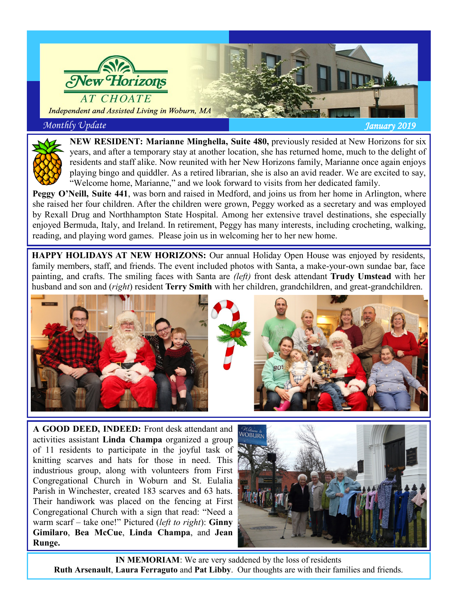



**NEW RESIDENT: Marianne Minghella, Suite 480,** previously resided at New Horizons for six years, and after a temporary stay at another location, she has returned home, much to the delight of residents and staff alike. Now reunited with her New Horizons family, Marianne once again enjoys playing bingo and quiddler. As a retired librarian, she is also an avid reader. We are excited to say, "Welcome home, Marianne," and we look forward to visits from her dedicated family.

**Peggy O'Neill, Suite 441**, was born and raised in Medford, and joins us from her home in Arlington, where she raised her four children. After the children were grown, Peggy worked as a secretary and was employed by Rexall Drug and Northhampton State Hospital. Among her extensive travel destinations, she especially enjoyed Bermuda, Italy, and Ireland. In retirement, Peggy has many interests, including crocheting, walking, reading, and playing word games. Please join us in welcoming her to her new home.

**HAPPY HOLIDAYS AT NEW HORIZONS:** Our annual Holiday Open House was enjoyed by residents, family members, staff, and friends. The event included photos with Santa, a make-your-own sundae bar, face painting, and crafts. The smiling faces with Santa are *(left)* front desk attendant **Trudy Umstead** with her husband and son and (*right*) resident **Terry Smith** with her children, grandchildren, and great-grandchildren.





**A GOOD DEED, INDEED:** Front desk attendant and activities assistant **Linda Champa** organized a group of 11 residents to participate in the joyful task of knitting scarves and hats for those in need. This industrious group, along with volunteers from First Congregational Church in Woburn and St. Eulalia Parish in Winchester, created 183 scarves and 63 hats. Their handiwork was placed on the fencing at First Congregational Church with a sign that read: "Need a warm scarf – take one!" Pictured (*left to right*): **Ginny Gimilaro**, **Bea McCue**, **Linda Champa**, and **Jean Runge.**



**IN MEMORIAM**: We are very saddened by the loss of residents **Ruth Arsenault**, **Laura Ferraguto** and **Pat Libby**. Our thoughts are with their families and friends.